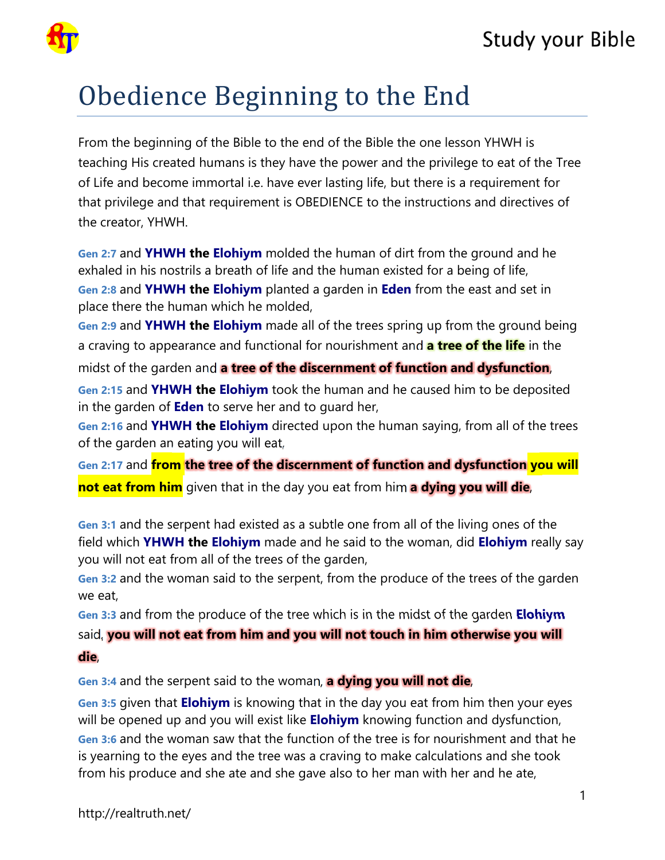

## Obedience Beginning to the End

From the beginning of the Bible to the end of the Bible the one lesson YHWH is teaching His created humans is they have the power and the privilege to eat of the Tree of Life and become immortal i.e. have ever lasting life, but there is a requirement for that privilege and that requirement is OBEDIENCE to the instructions and directives of the creator, YHWH.

**Gen 2:7** and **YHWH the Elohiym** molded the human of dirt from the ground and he exhaled in his nostrils a breath of life and the human existed for a being of life, **Gen 2:8** and **YHWH the Elohiym** planted a garden in **Eden** from the east and set in place there the human which he molded,

**Gen 2:9** and **YHWH the Elohiym** made all of the trees spring up from the ground being a craving to appearance and functional for nourishment and **a tree of the life** in the midst of the garden and **a tree of the discernment of function and dysfunction**,

**Gen 2:15** and **YHWH the Elohiym** took the human and he caused him to be deposited in the garden of **Eden** to serve her and to guard her,

**Gen 2:16** and **YHWH the Elohiym** directed upon the human saying, from all of the trees of the garden an eating you will eat,

**Gen 2:17** and **from the tree of the discernment of function and dysfunction you will not eat from him** given that in the day you eat from him **a dying you will die**,

**Gen 3:1** and the serpent had existed as a subtle one from all of the living ones of the field which **YHWH the Elohiym** made and he said to the woman, did **Elohiym** really say you will not eat from all of the trees of the garden,

**Gen 3:2** and the woman said to the serpent, from the produce of the trees of the garden we eat,

**Gen 3:3** and from the produce of the tree which is in the midst of the garden **Elohiym** said, **you will not eat from him and you will not touch in him otherwise you will die**,

**Gen 3:4** and the serpent said to the woman, **a dying you will not die**,

**Gen 3:5** given that **Elohiym** is knowing that in the day you eat from him then your eyes will be opened up and you will exist like **Elohiym** knowing function and dysfunction, **Gen 3:6** and the woman saw that the function of the tree is for nourishment and that he is yearning to the eyes and the tree was a craving to make calculations and she took from his produce and she ate and she gave also to her man with her and he ate,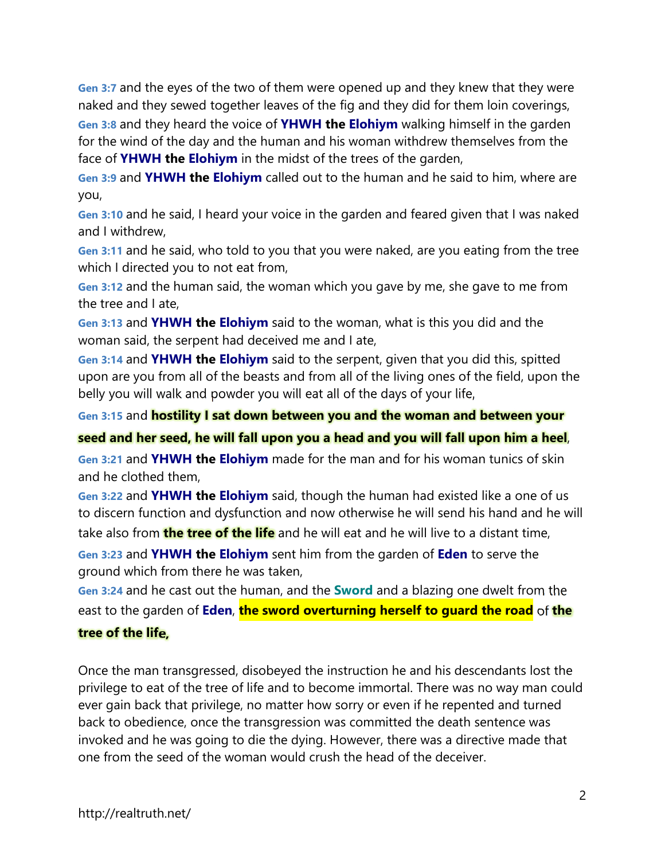**Gen 3:7** and the eyes of the two of them were opened up and they knew that they were naked and they sewed together leaves of the fig and they did for them loin coverings, **Gen 3:8** and they heard the voice of **YHWH the Elohiym** walking himself in the garden for the wind of the day and the human and his woman withdrew themselves from the face of **YHWH the Elohiym** in the midst of the trees of the garden,

**Gen 3:9** and **YHWH the Elohiym** called out to the human and he said to him, where are you,

**Gen 3:10** and he said, I heard your voice in the garden and feared given that I was naked and I withdrew,

**Gen 3:11** and he said, who told to you that you were naked, are you eating from the tree which I directed you to not eat from,

**Gen 3:12** and the human said, the woman which you gave by me, she gave to me from the tree and I ate,

**Gen 3:13** and **YHWH the Elohiym** said to the woman, what is this you did and the woman said, the serpent had deceived me and I ate,

**Gen 3:14** and **YHWH the Elohiym** said to the serpent, given that you did this, spitted upon are you from all of the beasts and from all of the living ones of the field, upon the belly you will walk and powder you will eat all of the days of your life,

**Gen 3:15** and **hostility I sat down between you and the woman and between your** 

**seed and her seed, he will fall upon you a head and you will fall upon him a heel**,

**Gen 3:21** and **YHWH the Elohiym** made for the man and for his woman tunics of skin and he clothed them,

**Gen 3:22** and **YHWH the Elohiym** said, though the human had existed like a one of us to discern function and dysfunction and now otherwise he will send his hand and he will

take also from **the tree of the life** and he will eat and he will live to a distant time,

**Gen 3:23** and **YHWH the Elohiym** sent him from the garden of **Eden** to serve the ground which from there he was taken,

**Gen 3:24** and he cast out the human, and the **Sword** and a blazing one dwelt from the east to the garden of **Eden**, **the sword overturning herself to guard the road** of **the** 

## **tree of the life,**

Once the man transgressed, disobeyed the instruction he and his descendants lost the privilege to eat of the tree of life and to become immortal. There was no way man could ever gain back that privilege, no matter how sorry or even if he repented and turned back to obedience, once the transgression was committed the death sentence was invoked and he was going to die the dying. However, there was a directive made that one from the seed of the woman would crush the head of the deceiver.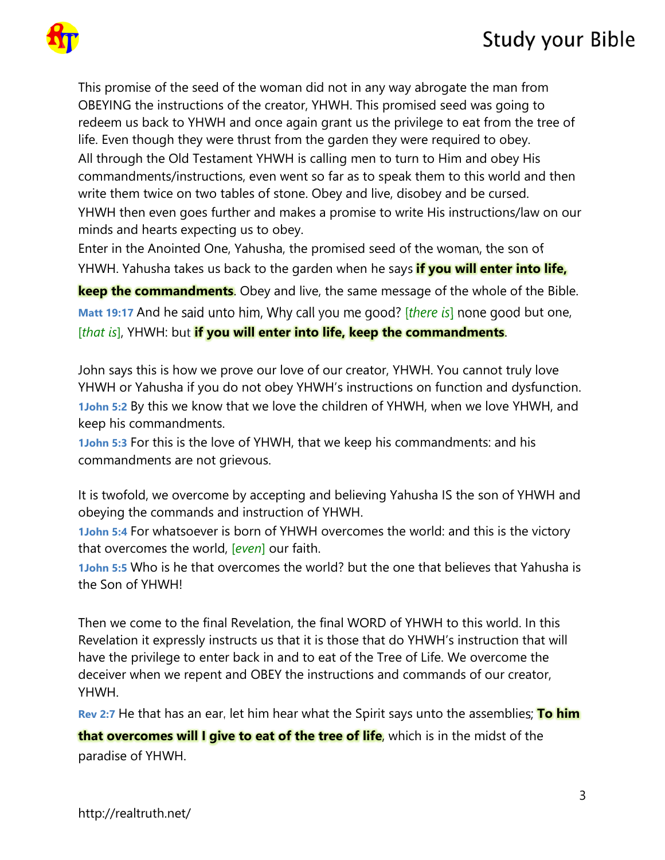

This promise of the seed of the woman did not in any way abrogate the man from OBEYING the instructions of the creator, YHWH. This promised seed was going to redeem us back to YHWH and once again grant us the privilege to eat from the tree of life. Even though they were thrust from the garden they were required to obey. All through the Old Testament YHWH is calling men to turn to Him and obey His commandments/instructions, even went so far as to speak them to this world and then write them twice on two tables of stone. Obey and live, disobey and be cursed. YHWH then even goes further and makes a promise to write His instructions/law on our minds and hearts expecting us to obey.

Enter in the Anointed One, Yahusha, the promised seed of the woman, the son of YHWH. Yahusha takes us back to the garden when he says **if you will enter into life,** 

**keep the commandments**. Obey and live, the same message of the whole of the Bible. **Matt 19:17** And he said unto him, Why call you me good? [*there is*] none good but one, [*that is*], YHWH: but **if you will enter into life, keep the commandments**.

John says this is how we prove our love of our creator, YHWH. You cannot truly love YHWH or Yahusha if you do not obey YHWH's instructions on function and dysfunction. **1John 5:2** By this we know that we love the children of YHWH, when we love YHWH, and keep his commandments.

**1John 5:3** For this is the love of YHWH, that we keep his commandments: and his commandments are not grievous.

It is twofold, we overcome by accepting and believing Yahusha IS the son of YHWH and obeying the commands and instruction of YHWH.

**1John 5:4** For whatsoever is born of YHWH overcomes the world: and this is the victory that overcomes the world, [*even*] our faith.

**1John 5:5** Who is he that overcomes the world? but the one that believes that Yahusha is the Son of YHWH!

Then we come to the final Revelation, the final WORD of YHWH to this world. In this Revelation it expressly instructs us that it is those that do YHWH's instruction that will have the privilege to enter back in and to eat of the Tree of Life. We overcome the deceiver when we repent and OBEY the instructions and commands of our creator, YHWH.

**Rev 2:7** He that has an ear, let him hear what the Spirit says unto the assemblies; **To him** 

**that overcomes will I give to eat of the tree of life**, which is in the midst of the paradise of YHWH.